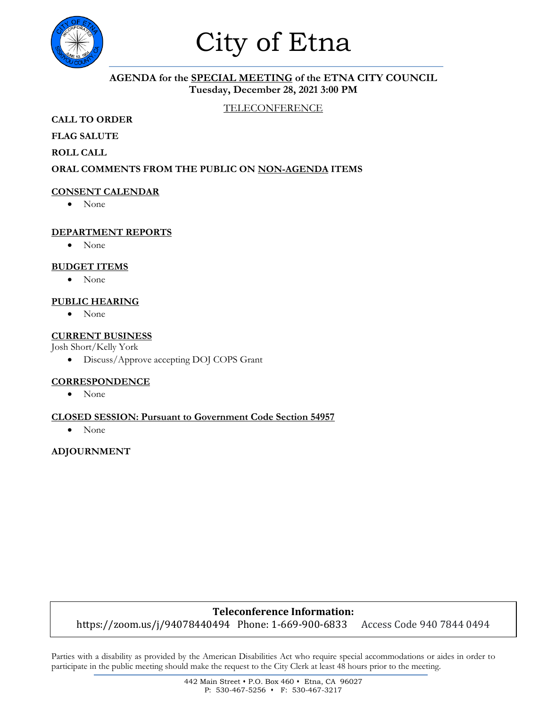

## City of Etna

#### **AGENDA for the SPECIAL MEETING of the ETNA CITY COUNCIL Tuesday, December 28, 2021 3:00 PM**

#### TELECONFERENCE

**CALL TO ORDER**

**FLAG SALUTE**

**ROLL CALL**

#### **ORAL COMMENTS FROM THE PUBLIC ON NON-AGENDA ITEMS**

#### **CONSENT CALENDAR**

• None

#### **DEPARTMENT REPORTS**

• None

#### **BUDGET ITEMS**

• None

#### **PUBLIC HEARING**

• None

#### **CURRENT BUSINESS**

Josh Short/Kelly York

• Discuss/Approve accepting DOJ COPS Grant

#### **CORRESPONDENCE**

• None

#### **CLOSED SESSION: Pursuant to Government Code Section 54957**

• None

#### **ADJOURNMENT**

#### **Teleconference Information:**

https://zoom.us/j/94078440494 Phone: 1-669-900-6833 Access Code 940 7844 0494

Parties with a disability as provided by the American Disabilities Act who require special accommodations or aides in order to participate in the public meeting should make the request to the City Clerk at least 48 hours prior to the meeting.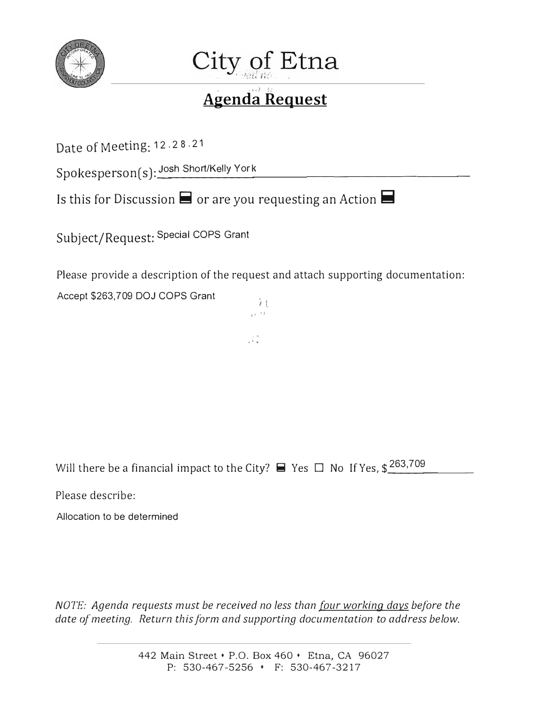



#### . ' ' *') (:*  **Agenda Request**

Date of Meeting: 12.2 <sup>8</sup> .21

Spokesperson(s): Josh Short/Kelly Yo  $r$   $\sim$   $r$   $\sim$   $r$   $\sim$   $r$   $\sim$   $r$   $\sim$   $r$   $\sim$   $r$   $\sim$   $r$   $\sim$   $r$   $\sim$   $r$   $\sim$   $r$   $\sim$   $r$   $\sim$   $r$   $\sim$   $r$   $\sim$   $r$   $\sim$   $r$   $\sim$   $r$   $\sim$   $r$   $\sim$   $r$   $\sim$   $r$   $\sim$   $r$   $\sim$   $r$   $\sim$   $r$   $\sim$   $r$   $\sim$   $r$ 

ls this for Discussion **ii** or are you requesting an Action **ii** 

Subject/Request: Special COPS Grant

Please provide a description of the request and attach supporting documentation:

 $\cdots$ 

 $\frac{1}{2}$ .

Accept \$263,709 DOJ COPS Grant  $\frac{1}{i}$ 

Will there be a financial impact to the City?  $\blacksquare$  Yes  $\square$  No If Yes, \$ $\frac{263,709}{\square}$ 

 $\overline{\phantom{a}}$ 

Please describe:

Allocation to be determined

*NOTE: Agenda requests must be received no less than four working days before the date of meeting. Return this form and supporting documentation to address below.*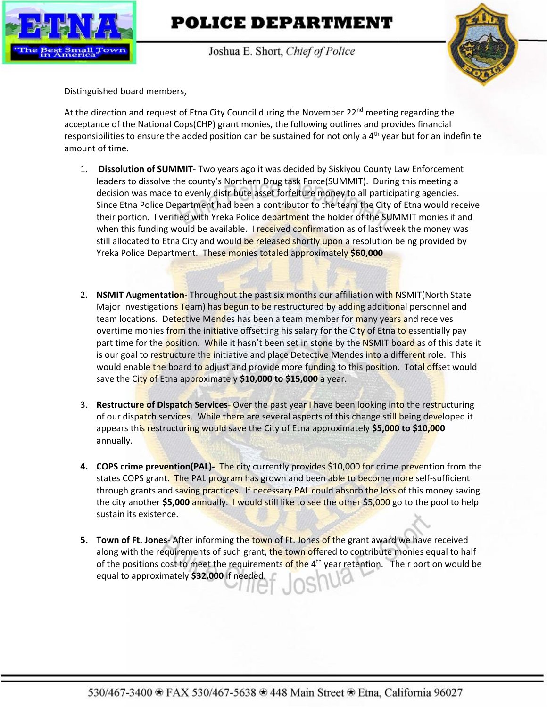

### **POLICE DEPARTMENT**

Joshua E. Short, Chief of Police



Distinguished board members,

At the direction and request of Etna City Council during the November 22<sup>nd</sup> meeting regarding the acceptance of the National Cops(CHP) grant monies, the following outlines and provides financial responsibilities to ensure the added position can be sustained for not only a 4<sup>th</sup> year but for an indefinite amount of time.

- 1. **Dissolution of SUMMIT** Two years ago it was decided by Siskiyou County Law Enforcement leaders to dissolve the county's Northern Drug task Force(SUMMIT). During this meeting a decision was made to evenly distribute asset forfeiture money to all participating agencies. Since Etna Police Department had been a contributor to the team the City of Etna would receive their portion. I verified with Yreka Police department the holder of the SUMMIT monies if and when this funding would be available. I received confirmation as of last week the money was still allocated to Etna City and would be released shortly upon a resolution being provided by Yreka Police Department. These monies totaled approximately **\$60,000**
- 2. **NSMIT Augmentation** Throughout the past six months our affiliation with NSMIT(North State Major Investigations Team) has begun to be restructured by adding additional personnel and team locations. Detective Mendes has been a team member for many years and receives overtime monies from the initiative offsetting his salary for the City of Etna to essentially pay part time for the **position.** While it hasn't been set in stone by the NSMIT board as of this date it is our goal to restructure the initiative and place Detective Mendes into a different role. This would enable the board to adjust and provide more funding to this position. Total offset would save the City of Etna approximately **\$10,000 to \$15,000** a year.
- 3. **Restructure of Dispatch Services** Over the past year I have been looking into the restructuring of our dispatch services. While there are several aspects of this change still being developed it appears this restructuring would save the City of Etna approximately **\$5,000 to \$10,000** annually.
- **4. COPS crime prevention(PAL)-** The city currently provides \$10,000 for crime prevention from the states COPS grant. The PAL program has grown and been able to become more self-sufficient through grants and saving practices. If necessary PAL could absorb the loss of this money saving the city another **\$5,000** annually. I would still like to see the other \$5,000 go to the pool to help sustain its existence.
- **5. Town of Ft. Jones** After informing the town of Ft. Jones of the grant award we have received along with the requirements of such grant, the town offered to contribute monies equal to half of the positions cost to meet the requirements of the  $4<sup>th</sup>$  year retention. Their portion would be equal to approximately **\$32,000** if needed.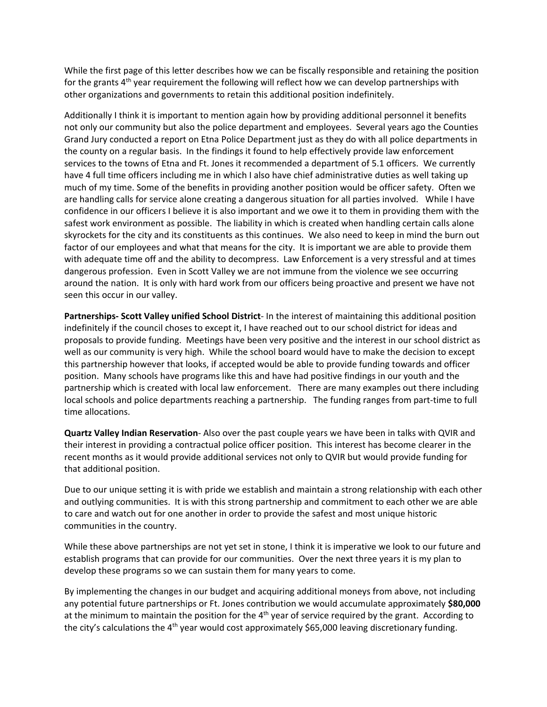While the first page of this letter describes how we can be fiscally responsible and retaining the position for the grants 4<sup>th</sup> year requirement the following will reflect how we can develop partnerships with other organizations and governments to retain this additional position indefinitely.

Additionally I think it is important to mention again how by providing additional personnel it benefits not only our community but also the police department and employees. Several years ago the Counties Grand Jury conducted a report on Etna Police Department just as they do with all police departments in the county on a regular basis. In the findings it found to help effectively provide law enforcement services to the towns of Etna and Ft. Jones it recommended a department of 5.1 officers. We currently have 4 full time officers including me in which I also have chief administrative duties as well taking up much of my time. Some of the benefits in providing another position would be officer safety. Often we are handling calls for service alone creating a dangerous situation for all parties involved. While I have confidence in our officers I believe it is also important and we owe it to them in providing them with the safest work environment as possible. The liability in which is created when handling certain calls alone skyrockets for the city and its constituents as this continues. We also need to keep in mind the burn out factor of our employees and what that means for the city. It is important we are able to provide them with adequate time off and the ability to decompress. Law Enforcement is a very stressful and at times dangerous profession. Even in Scott Valley we are not immune from the violence we see occurring around the nation. It is only with hard work from our officers being proactive and present we have not seen this occur in our valley.

**Partnerships- Scott Valley unified School District**- In the interest of maintaining this additional position indefinitely if the council choses to except it, I have reached out to our school district for ideas and proposals to provide funding. Meetings have been very positive and the interest in our school district as well as our community is very high. While the school board would have to make the decision to except this partnership however that looks, if accepted would be able to provide funding towards and officer position. Many schools have programs like this and have had positive findings in our youth and the partnership which is created with local law enforcement. There are many examples out there including local schools and police departments reaching a partnership. The funding ranges from part-time to full time allocations.

**Quartz Valley Indian Reservation**- Also over the past couple years we have been in talks with QVIR and their interest in providing a contractual police officer position. This interest has become clearer in the recent months as it would provide additional services not only to QVIR but would provide funding for that additional position.

Due to our unique setting it is with pride we establish and maintain a strong relationship with each other and outlying communities. It is with this strong partnership and commitment to each other we are able to care and watch out for one another in order to provide the safest and most unique historic communities in the country.

While these above partnerships are not yet set in stone, I think it is imperative we look to our future and establish programs that can provide for our communities. Over the next three years it is my plan to develop these programs so we can sustain them for many years to come.

By implementing the changes in our budget and acquiring additional moneys from above, not including any potential future partnerships or Ft. Jones contribution we would accumulate approximately **\$80,000** at the minimum to maintain the position for the  $4<sup>th</sup>$  year of service required by the grant. According to the city's calculations the 4<sup>th</sup> year would cost approximately \$65,000 leaving discretionary funding.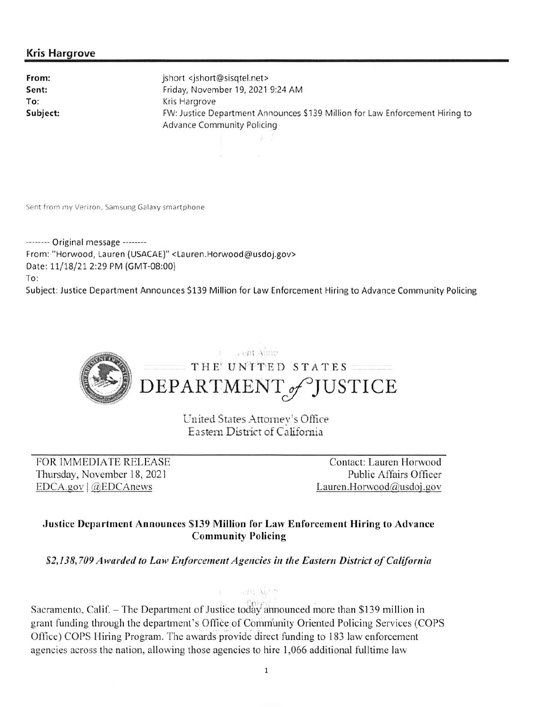#### **Kris Hargrove**

From: Sent: To: Subject: jshort <jshort@sisqtel.net> Friday, November 19, 2021 9:24 AM Kris Hargrove FW: Justice Department Announces \$139 Million for Law Enforcement Hiring to **Advance Community Policing** 

Sent from my Verizon, Samsung Galaxy smartphone

-------- Original message --------From: "Horwood, Lauren (USACAE)" <Lauren.Horwood@usdoj.gov> Date: 11/18/21 2:29 PM (GMT-08:00) To: Subject: Justice Department Announces \$139 Million for Law Enforcement Hiring to Advance Community Policing



United States Attorney's Office Eastern District of California

FOR IMMEDIATE RELEASE Thursday, November 18, 2021  $EDCA.gov$  | @EDCAnews

Contact: Lauren Horwood Public Affairs Officer Lauren.Horwood@usdoj.gov

#### Justice Department Announces \$139 Million for Law Enforcement Hiring to Advance **Community Policing**

\$2,138,709 Awarded to Law Enforcement Agencies in the Eastern District of California

Sacramento, Calif. – The Department of Justice today announced more than \$139 million in grant funding through the department's Office of Community Oriented Policing Services (COPS Office) COPS Hiring Program. The awards provide direct funding to 183 law enforcement agencies across the nation, allowing those agencies to hire 1,066 additional fulltime law

HOTEL AGEIN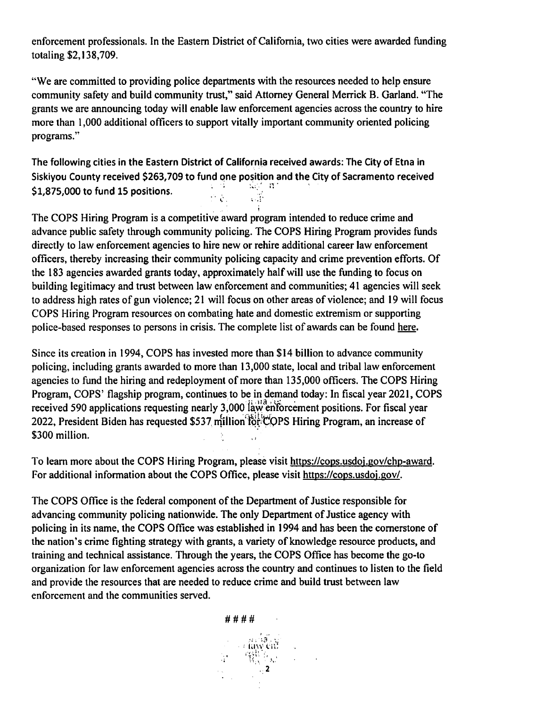enforcement professionals. In the Eastern District of California, two cities were awarded funding totaling \$2,138,709.

"We are committed to providing police departments with the resources needed to help ensure community safety and build community trust," said Attorney General Merrick B. Garland. "The grants we are announcing today will enable law enforcement agencies across the country to hire more than 1,000 additional officers to support vitally important community oriented policing programs."

The following cities in the Eastern District of California received awards: The City of Etna in Siskiyou County received \$263,709 to fund one position and the City of Sacramento received  $\mathcal{L}^{\mathcal{L}}(\mathcal{A})=\mathcal{L}^{\mathcal{L}}(\mathcal{A})=\mathcal{L}^{\mathcal{L}}(\mathcal{A})$ \$1.875.000 to fund 15 positions.  $\frac{1}{2} \sum_{i=1}^{n}$  $\mathcal{L} = \mathcal{L}$ 

The COPS Hiring Program is a competitive award program intended to reduce crime and advance public safety through community policing. The COPS Hiring Program provides funds directly to law enforcement agencies to hire new or rehire additional career law enforcement officers, thereby increasing their community policing capacity and crime prevention efforts. Of the 183 agencies awarded grants today, approximately half will use the funding to focus on building legitimacy and trust between law enforcement and communities; 41 agencies will seek to address high rates of gun violence; 21 will focus on other areas of violence; and 19 will focus COPS Hiring Program resources on combating hate and domestic extremism or supporting police-based responses to persons in crisis. The complete list of awards can be found here.

Since its creation in 1994, COPS has invested more than \$14 billion to advance community policing, including grants awarded to more than 13,000 state, local and tribal law enforcement agencies to fund the hiring and redeployment of more than 135,000 officers. The COPS Hiring Program, COPS' flagship program, continues to be in demand today: In fiscal year 2021, COPS received 590 applications requesting nearly 3,000 law enforcement positions. For fiscal year 2022, President Biden has requested \$537 million for COPS Hiring Program, an increase of \$300 million.

To learn more about the COPS Hiring Program, please visit https://cops.usdoj.gov/chp-award. For additional information about the COPS Office, please visit https://cops.usdoj.gov/.

The COPS Office is the federal component of the Department of Justice responsible for advancing community policing nationwide. The only Department of Justice agency with policing in its name, the COPS Office was established in 1994 and has been the cornerstone of the nation's crime fighting strategy with grants, a variety of knowledge resource products, and training and technical assistance. Through the years, the COPS Office has become the go-to organization for law enforcement agencies across the country and continues to listen to the field and provide the resources that are needed to reduce crime and build trust between law enforcement and the communities served.

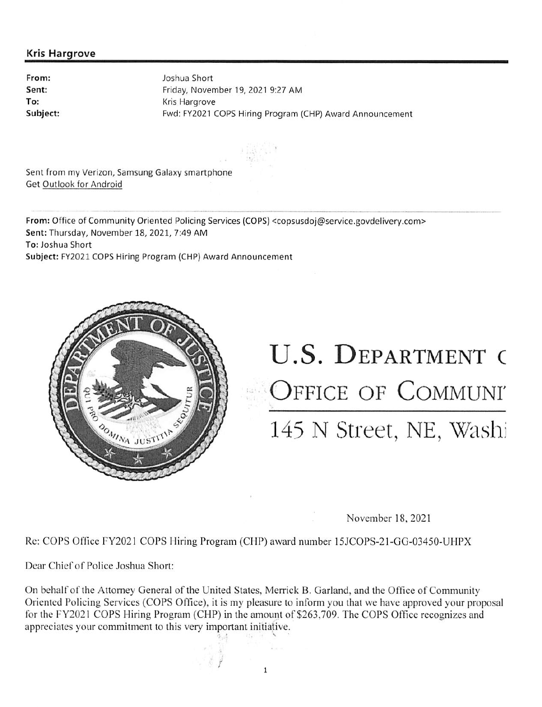#### **Kris Hargrove**

From: Sent: To: Subiect: Joshua Short Friday, November 19, 2021 9:27 AM Kris Hargrove Fwd: FY2021 COPS Hiring Program (CHP) Award Announcement

Sent from my Verizon, Samsung Galaxy smartphone Get Outlook for Android

From: Office of Community Oriented Policing Services (COPS) <copsusdoj@service.govdelivery.com> Sent: Thursday, November 18, 2021, 7:49 AM To: Joshua Short Subject: FY2021 COPS Hiring Program (CHP) Award Announcement



# U.S. DEPARTMENT O OFFICE OF COMMUNI 145 N Street, NE, Washi

November 18, 2021

Re: COPS Office FY2021 COPS Hiring Program (CHP) award number 15JCOPS-21-GG-03450-UHPX

Dear Chief of Police Joshua Short:

On behalf of the Attorney General of the United States, Merrick B. Garland, and the Office of Community Oriented Policing Services (COPS Office), it is my pleasure to inform you that we have approved your proposal for the FY2021 COPS Hiring Program (CHP) in the amount of \$263,709. The COPS Office recognizes and appreciates your commitment to this very important initiative.

 $\mathbf{1}$